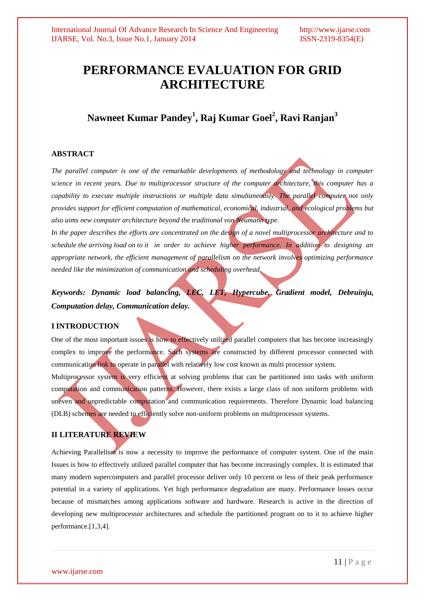# **PERFORMANCE EVALUATION FOR GRID ARCHITECTURE**

**Nawneet Kumar Pandey<sup>1</sup> , Raj Kumar Goel<sup>2</sup> , Ravi Ranjan<sup>3</sup>**

## **ABSTRACT**

*The parallel computer is one of the remarkable developments of methodology and technology in computer science in recent years. Due to multiprocessor structure of the computer architecture, this computer has a capability to execute multiple instructions or multiple data simultaneously. The parallel computer not only provides support for efficient computation of mathematical, economical, industrial, and ecological problems but also aims new computer architecture beyond the traditional von Neumann type.*

*In the paper describes the efforts are concentrated on the design of a novel multiprocessor architecture and to schedule the arriving load on to it in order to achieve higher performance. In addition to designing an appropriate network, the efficient management of parallelism on the network involves optimizing performance needed like the minimization of communication and scheduling overhead.*

*Keywords: Dynamic load balancing, LEC, LET, Hypercube, Gradient model, Debruinju, Computation delay, Communication delay.*

## **I INTRODUCTION**

One of the most important issues is how to effectively utilized parallel computers that has become increasingly complex to improve the performance. Such systems are constructed by different processor connected with communication link to operate in parallel with relatively low cost known as multi processor system.

Multiprocessor system is very efficient at solving problems that can be partitioned into tasks with uniform computation and communication patterns. However, there exists a large class of non uniform problems with uneven and unpredictable computation and communication requirements. Therefore Dynamic load balancing (DLB) schemes are needed to efficiently solve non-uniform problems on multiprocessor systems.

## **II LITERATURE REVIEW**

Achieving Parallelism is now a necessity to improve the performance of computer system. One of the main Issues is how to effectively utilized parallel computer that has become increasingly complex. It is estimated that many modern supercomputers and parallel processor deliver only 10 percent or less of their peak performance potential in a variety of applications. Yet high performance degradation are many. Performance losses occur because of mismatches among applications software and hardware. Research is active in the direction of developing new multiprocessor architectures and schedule the partitioned program on to it to achieve higher performance.[1,3,4].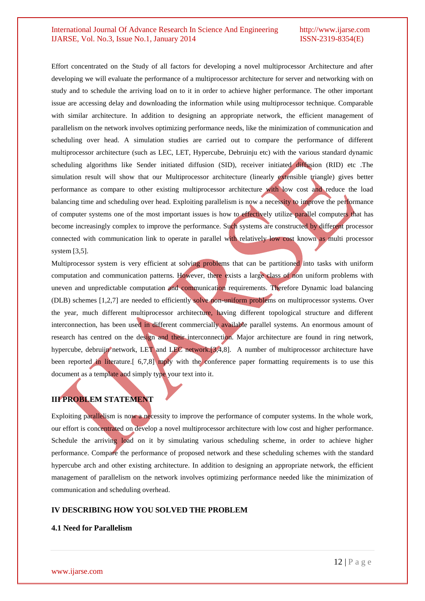Effort concentrated on the Study of all factors for developing a novel multiprocessor Architecture and after developing we will evaluate the performance of a multiprocessor architecture for server and networking with on study and to schedule the arriving load on to it in order to achieve higher performance. The other important issue are accessing delay and downloading the information while using multiprocessor technique. Comparable with similar architecture. In addition to designing an appropriate network, the efficient management of parallelism on the network involves optimizing performance needs, like the minimization of communication and scheduling over head. A simulation studies are carried out to compare the performance of different multiprocessor architecture (such as LEC, LET, Hypercube, Debruinju etc) with the various standard dynamic scheduling algorithms like Sender initiated diffusion (SID), receiver initiated diffusion (RID) etc .The simulation result will show that our Multiprocessor architecture (linearly extensible triangle) gives better performance as compare to other existing multiprocessor architecture with low cost and reduce the load balancing time and scheduling over head. Exploiting parallelism is now a necessity to improve the performance of computer systems one of the most important issues is how to effectively utilize parallel computers that has become increasingly complex to improve the performance. Such systems are constructed by different processor connected with communication link to operate in parallel with relatively low cost known as multi processor system [3,5].

Multiprocessor system is very efficient at solving problems that can be partitioned into tasks with uniform computation and communication patterns. However, there exists a large class of non uniform problems with uneven and unpredictable computation and communication requirements. Therefore Dynamic load balancing (DLB) schemes [1,2,7] are needed to efficiently solve non-uniform problems on multiprocessor systems. Over the year, much different multiprocessor architecture, having different topological structure and different interconnection, has been used in different commercially available parallel systems. An enormous amount of research has centred on the design and their interconnection. Major architecture are found in ring network, hypercube, debruijn network, LET and LEC network.[3,4,8]. A number of multiprocessor architecture have been reported in literature. [ 6,7,8] mply with the conference paper formatting requirements is to use this document as a template and simply type your text into it.

## **III PROBLEM STATEMENT**

Exploiting parallelism is now a necessity to improve the performance of computer systems. In the whole work, our effort is concentrated on develop a novel multiprocessor architecture with low cost and higher performance. Schedule the arriving load on it by simulating various scheduling scheme, in order to achieve higher performance. Compare the performance of proposed network and these scheduling schemes with the standard hypercube arch and other existing architecture. In addition to designing an appropriate network, the efficient management of parallelism on the network involves optimizing performance needed like the minimization of communication and scheduling overhead.

## **IV DESCRIBING HOW YOU SOLVED THE PROBLEM**

## **4.1 Need for Parallelism**

www.ijarse.com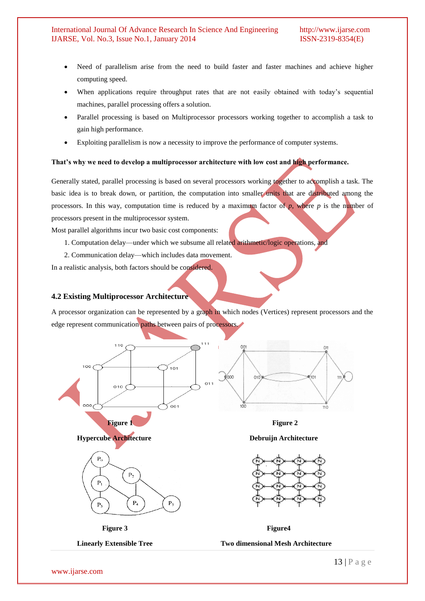- Need of parallelism arise from the need to build faster and faster machines and achieve higher computing speed.
- When applications require throughput rates that are not easily obtained with today's sequential machines, parallel processing offers a solution.
- Parallel processing is based on Multiprocessor processors working together to accomplish a task to gain high performance.
- Exploiting parallelism is now a necessity to improve the performance of computer systems.

#### **That's why we need to develop a multiprocessor architecture with low cost and high performance.**

Generally stated, parallel processing is based on several processors working together to accomplish a task. The basic idea is to break down, or partition, the computation into smaller units that are distributed among the processors. In this way, computation time is reduced by a maximum factor of *p*, where *p* is the number of processors present in the multiprocessor system.

Most parallel algorithms incur two basic cost components:

- 1. Computation delay—under which we subsume all related arithmetic/logic operations, and
- 2. Communication delay—which includes data movement.

In a realistic analysis, both factors should be considered.

#### **4.2 Existing Multiprocessor Architecture**

A processor organization can be represented by a graph in which nodes (Vertices) represent processors and the edge represent communication paths between pairs of processors.







**Hypercube Architecture Debruijn Architecture**



**Figure 3** Figure 4

**Linearly Extensible Tree Two dimensional Mesh Architecture**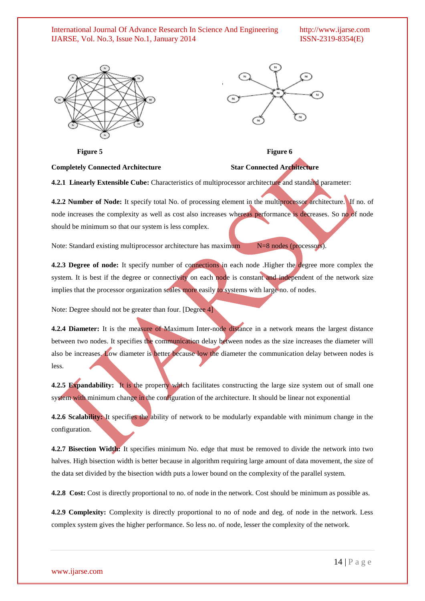

**Figure 5** Figure 6

## **Completely Connected Architecture Star Connected Architecture**

**4.2.1 Linearly Extensible Cube:** Characteristics of multiprocessor architecture and standard parameter:

**4.2.2 Number of Node:** It specify total No. of processing element in the multiprocessor architecture. If no. of node increases the complexity as well as cost also increases whereas performance is decreases. So no of node should be minimum so that our system is less complex.

Note: Standard existing multiprocessor architecture has maximum N=8 nodes (processors).

**4.2.3 Degree of node:** It specify number of connections in each node .Higher the degree more complex the system. It is best if the degree or connectivity on each node is constant and independent of the network size implies that the processor organization scales more easily to systems with large no. of nodes.

Note: Degree should not be greater than four. [Degree 4]

**4.2.4 Diameter:** It is the measure of Maximum Inter-node distance in a network means the largest distance between two nodes. It specifies the communication delay between nodes as the size increases the diameter will also be increases. Low diameter is better because low the diameter the communication delay between nodes is less.

**4.2.5 Expandability:** It is the property which facilitates constructing the large size system out of small one system with minimum change in the configuration of the architecture. It should be linear not exponential

**4.2.6 Scalability:** It specifies the ability of network to be modularly expandable with minimum change in the configuration.

**4.2.7 Bisection Width:** It specifies minimum No. edge that must be removed to divide the network into two halves. High bisection width is better because in algorithm requiring large amount of data movement, the size of the data set divided by the bisection width puts a lower bound on the complexity of the parallel system.

**4.2.8 Cost:** Cost is directly proportional to no. of node in the network. Cost should be minimum as possible as.

**4.2.9 Complexity:** Complexity is directly proportional to no of node and deg. of node in the network. Less complex system gives the higher performance. So less no. of node, lesser the complexity of the network.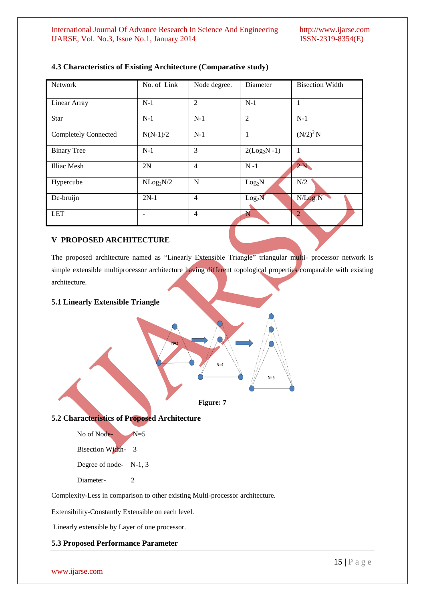| <b>Network</b>              | No. of Link           | Node degree.   | Diameter           | <b>Bisection Width</b> |
|-----------------------------|-----------------------|----------------|--------------------|------------------------|
| Linear Array                | $N-1$                 | $\overline{2}$ | $N-1$              | 1                      |
| <b>Star</b>                 | $N-1$                 | $N-1$          | $\overline{2}$     | $N-1$                  |
| <b>Completely Connected</b> | $N(N-1)/2$            | $N-1$          | 1                  | $(N/2)^{2}N$           |
| <b>Binary Tree</b>          | $N-1$                 | 3              | $2(Log2N - 1)$     | 1                      |
| Illiac Mesh                 | 2N                    | $\overline{4}$ | $N - 1$            | 2N                     |
| Hypercube                   | NLog <sub>2</sub> N/2 | N              | Log <sub>2</sub> N | N/2                    |
| De-bruijn                   | $2N-1$                | $\overline{4}$ | Log <sub>2</sub> N | N/Log <sub>2</sub> N   |
| <b>LET</b>                  |                       | $\overline{4}$ | N                  | $\overline{2}$         |

## **4.3 Characteristics of Existing Architecture (Comparative study)**

## **V PROPOSED ARCHITECTURE**

The proposed architecture named as "Linearly Extensible Triangle" triangular multi- processor network is simple extensible multiprocessor architecture having different topological properties comparable with existing architecture.

## **5.1 Linearly Extensible Triangle**



## **5.2 Characteristics of Proposed Architecture**

No of Node- $N=5$ 

Bisection Width- 3

Degree of node- N-1, 3

Diameter- 2

Complexity-Less in comparison to other existing Multi-processor architecture.

Extensibility-Constantly Extensible on each level.

Linearly extensible by Layer of one processor.

#### **5.3 Proposed Performance Parameter**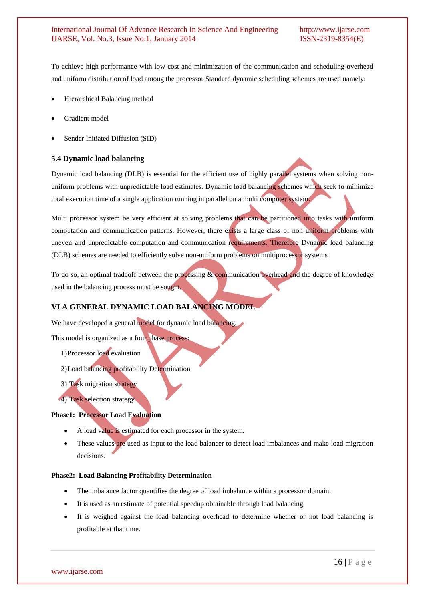To achieve high performance with low cost and minimization of the communication and scheduling overhead and uniform distribution of load among the processor Standard dynamic scheduling schemes are used namely:

- Hierarchical Balancing method
- Gradient model
- Sender Initiated Diffusion (SID)

### **5.4 Dynamic load balancing**

Dynamic load balancing (DLB) is essential for the efficient use of highly parallel systems when solving nonuniform problems with unpredictable load estimates. Dynamic load balancing schemes which seek to minimize total execution time of a single application running in parallel on a multi computer system.

Multi processor system be very efficient at solving problems that can be partitioned into tasks with uniform computation and communication patterns. However, there exists a large class of non uniform problems with uneven and unpredictable computation and communication requirements. Therefore Dynamic load balancing (DLB) schemes are needed to efficiently solve non-uniform problems on multiprocessor systems

To do so, an optimal tradeoff between the processing & communication overhead and the degree of knowledge used in the balancing process must be sought.

## **VI A GENERAL DYNAMIC LOAD BALANCING MODEL**

We have developed a general model for dynamic load balancing.

This model is organized as a four phase process:

- 1)Processor load evaluation
- 2)Load balancing profitability Determination
- 3) Task migration strategy
- 4) Task selection strategy

## **Phase1: Processor Load Evaluation**

- A load value is estimated for each processor in the system.
- These values are used as input to the load balancer to detect load imbalances and make load migration decisions.

#### **Phase2: Load Balancing Profitability Determination**

- The imbalance factor quantifies the degree of load imbalance within a processor domain.
- It is used as an estimate of potential speedup obtainable through load balancing
- It is weighed against the load balancing overhead to determine whether or not load balancing is profitable at that time.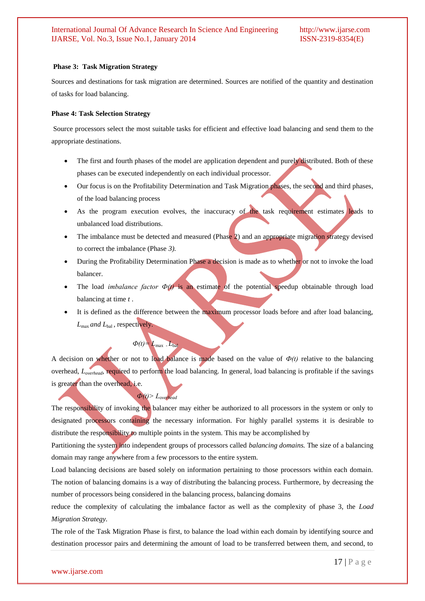#### **Phase 3: Task Migration Strategy**

Sources and destinations for task migration are determined. Sources are notified of the quantity and destination of tasks for load balancing.

#### **Phase 4: Task Selection Strategy**

Source processors select the most suitable tasks for efficient and effective load balancing and send them to the appropriate destinations.

- The first and fourth phases of the model are application dependent and purely distributed. Both of these phases can be executed independently on each individual processor.
- Our focus is on the Profitability Determination and Task Migration phases, the second and third phases, of the load balancing process
- As the program execution evolves, the inaccuracy of the task requirement estimates leads to unbalanced load distributions.
- The imbalance must be detected and measured (Phase 2) and an appropriate migration strategy devised to correct the imbalance (Phase *3).*
- During the Profitability Determination Phase a decision is made as to whether or not to invoke the load balancer.
- The load *imbalance factor*  $\Phi(t)$  is an estimate of the potential speedup obtainable through load balancing at time *t* .
- It is defined as the difference between the maximum processor loads before and after load balancing, *L*max *and L*bal , respectively.

A decision on whether or not to load balance is made based on the value of  $\Phi(t)$  relative to the balancing overhead, *Loverhead,* required to perform the load balancing. In general, load balancing is profitable if the savings is greater than the overhead, i.e.

 $\Phi(t) = L_{\text{max}}$   $L_{\text{bal}}$ 

 $\Phi(t)$ >  $L_{\text{over}}$ 

The responsibility of invoking the balancer may either be authorized to all processors in the system or only to designated processors containing the necessary information. For highly parallel systems it is desirable to distribute the responsibility to multiple points in the system. This may be accomplished by

Partitioning the system into independent groups of processors called *balancing domains.* The size of a balancing domain may range anywhere from a few processors to the entire system.

Load balancing decisions are based solely on information pertaining to those processors within each domain. The notion of balancing domains is a way of distributing the balancing process. Furthermore, by decreasing the number of processors being considered in the balancing process, balancing domains

reduce the complexity of calculating the imbalance factor as well as the complexity of phase 3, the *Load Migration Strategy.*

The role of the Task Migration Phase is first, to balance the load within each domain by identifying source and destination processor pairs and determining the amount of load to be transferred between them, and second, to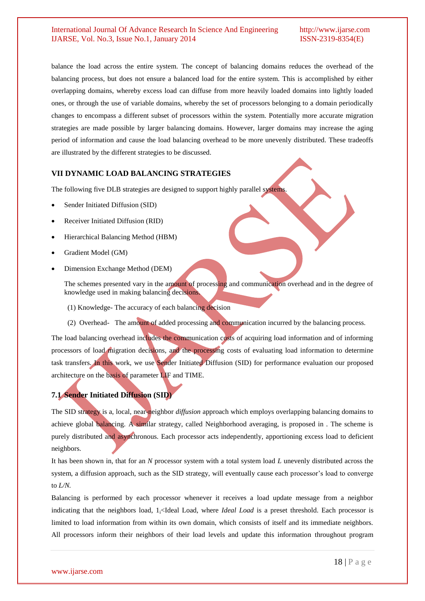balance the load across the entire system. The concept of balancing domains reduces the overhead of the balancing process, but does not ensure a balanced load for the entire system. This is accomplished by either overlapping domains, whereby excess load can diffuse from more heavily loaded domains into lightly loaded ones, or through the use of variable domains, whereby the set of processors belonging to a domain periodically changes to encompass a different subset of processors within the system. Potentially more accurate migration strategies are made possible by larger balancing domains. However, larger domains may increase the aging period of information and cause the load balancing overhead to be more unevenly distributed. These tradeoffs are illustrated by the different strategies to be discussed.

### **VII DYNAMIC LOAD BALANCING STRATEGIES**

The following five DLB strategies are designed to support highly parallel systems.

- Sender Initiated Diffusion (SID)
- Receiver Initiated Diffusion (RID)
- Hierarchical Balancing Method (HBM)
- Gradient Model (GM)
- Dimension Exchange Method (DEM)

The schemes presented vary in the amount of processing and communication overhead and in the degree of knowledge used in making balancing decisions.

- (1) Knowledge- The accuracy of each balancing decision
- (2) Overhead- The amount of added processing and communication incurred by the balancing process.

The load balancing overhead includes the communication costs of acquiring load information and of informing processors of load migration decisions, and the processing costs of evaluating load information to determine task transfers. In this work, we use Sender Initiated Diffusion (SID) for performance evaluation our proposed architecture on the basis of parameter LIF and TIME.

## **7.1 Sender Initiated Diffusion (SID)**

The SID strategy is a, local, near-neighbor *diffusion* approach which employs overlapping balancing domains to achieve global balancing. A similar strategy, called Neighborhood averaging, is proposed in . The scheme is purely distributed and asynchronous. Each processor acts independently, apportioning excess load to deficient neighbors.

It has been shown in, that for an *N* processor system with a total system load *L* unevenly distributed across the system, a diffusion approach, such as the SID strategy, will eventually cause each processor's load to converge to *L/N.*

Balancing is performed by each processor whenever it receives a load update message from a neighbor indicating that the neighbors load, 1<sub>i</sub><Ideal Load, where *Ideal Load* is a preset threshold. Each processor is limited to load information from within its own domain, which consists of itself and its immediate neighbors. All processors inform their neighbors of their load levels and update this information throughout program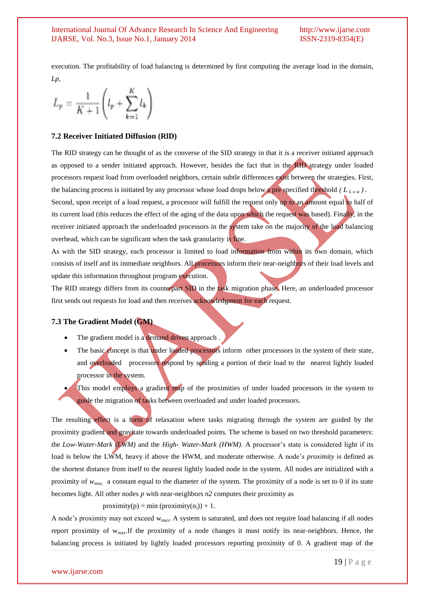execution. The profitability of load balancing is determined by first computing the average load in the domain, *Lp,*

$$
L_p = \frac{1}{K+1} \left( l_p + \sum_{k=1}^K l_k \right)
$$

#### **7.2 Receiver Initiated Diffusion (RlD)**

The RID strategy can be thought of as the converse of the SID strategy in that it is a receiver initiated approach as opposed to a sender initiated approach. However, besides the fact that in the RID strategy under loaded processors request load from overloaded neighbors, certain subtle differences exist between the strategies. First, the balancing process is initiated by any processor whose load drops below a pre specified threshold  $(L_{Low})$ . Second, upon receipt of a load request, a processor will fulfill the request only up to an amount equal to half of its current load (this reduces the effect of the aging of the data upon which the request was based). Finally, in the receiver initiated approach the underloaded processors in the system take on the majority of the load balancing

overhead, which can be significant when the task granularity is fine.

As with the SID strategy, each processor is limited to load information from within its own domain, which consists of itself and its immediate neighbors. All processors inform their near-neighbors of their load levels and update this information throughout program execution.

The RID strategy differs from its counterpart SID in the task migration phase. Here, an underloaded processor first sends out requests for load and then receives acknowledgment for each request.

#### **7.3 The Gradient Model (GM)**

- The gradient model is a demand driven approach.
- The basic concept is that under loaded processors inform other processors in the system of their state, and overloaded processors respond by sending a portion of their load to the nearest lightly loaded processor in the system.
- This model employs a gradient map of the proximities of under loaded processors in the system to guide the migration of tasks between overloaded and under loaded processors.

The resulting effect is a form of relaxation where tasks migrating through the system are guided by the proximity gradient and gravitate towards underloaded points. The scheme is based on two threshold parameters: the *Low-Water-Mark (LWM)* and the *High- Water-Mark (HWM).* A processor's state is considered light if its load is below the LWM, heavy if above the HWM, and moderate otherwise. A node's *proximity* is defined as the shortest distance from itself to the nearest lightly loaded node in the system. All nodes are initialized with a proximity of *wmax,* a constant equal to the diameter of the system. The proximity of a node is set to 0 if its state becomes light. All other nodes *p* with near-neighbors *n2* computes their proximity as

#### proximity(p) = min (proximity(n<sub>i</sub>)) + 1.

A node's proximity may not exceed wmax. A system is saturated, and does not require load balancing if all nodes report proximity of wmax.If the proximity of a node changes it must notify its near-neighbors. Hence, the balancing process is initiated by lightly loaded processors reporting proximity of 0. A gradient map of the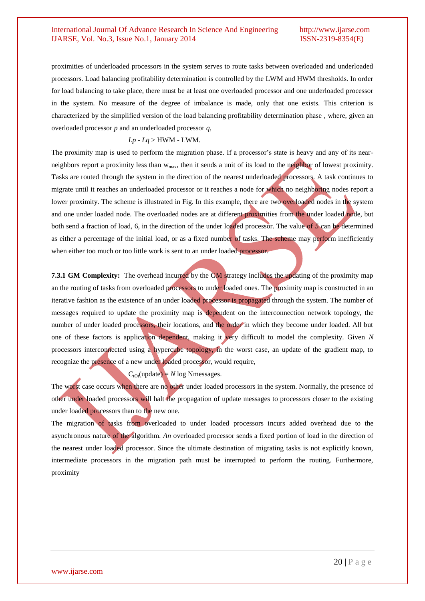proximities of underloaded processors in the system serves to route tasks between overloaded and underloaded processors. Load balancing profitability determination is controlled by the LWM and HWM thresholds. In order for load balancing to take place, there must be at least one overloaded processor and one underloaded processor in the system. No measure of the degree of imbalance is made, only that one exists. This criterion is characterized by the simplified version of the load balancing profitability determination phase *,* where, given an overloaded processor *p* and an underloaded processor *q,*

#### *Lp* - *Lq* > HWM - LWM.

The proximity map is used to perform the migration phase. If a processor's state is heavy and any of its nearneighbors report a proximity less than w<sub>max</sub>, then it sends a unit of its load to the neighbor of lowest proximity. Tasks are routed through the system in the direction of the nearest underloaded processors. A task continues to migrate until it reaches an underloaded processor or it reaches a node for which no neighboring nodes report a lower proximity. The scheme is illustrated in Fig. In this example, there are two overloaded nodes in the system and one under loaded node. The overloaded nodes are at different proximities from the under loaded node, but both send a fraction of load, 6, in the direction of the under loaded processor. The value of *5* can be determined as either a percentage of the initial load, or as a fixed number of tasks. The scheme may perform inefficiently when either too much or too little work is sent to an under loaded processor.

**7.3.1 GM Complexity:** The overhead incurred by the GM strategy includes the updating of the proximity map an the routing of tasks from overloaded processors to under loaded ones. The proximity map is constructed in an iterative fashion as the existence of an under loaded processor is propagated through the system. The number of messages required to update the proximity map is dependent on the interconnection network topology, the number of under loaded processors, their locations, and the order in which they become under loaded. All but one of these factors is application dependent, making it very difficult to model the complexity. Given *N*  processors interconnected using a hypercube topology, in the worst case, an update of the gradient map, to recognize the presence of a new under loaded processor, would require,

 $C_{\text{tot}}(\text{update}) = N \log \text{N}$  messages.

The worst case occurs when there are no other under loaded processors in the system. Normally, the presence of other under loaded processors will halt the propagation of update messages to processors closer to the existing under loaded processors than to the new one.

The migration of tasks from overloaded to under loaded processors incurs added overhead due to the asynchronous nature of the algorithm. *An* overloaded processor sends a fixed portion of load in the direction of the nearest under loaded processor. Since the ultimate destination of migrating tasks is not explicitly known, intermediate processors in the migration path must be interrupted to perform the routing. Furthermore, proximity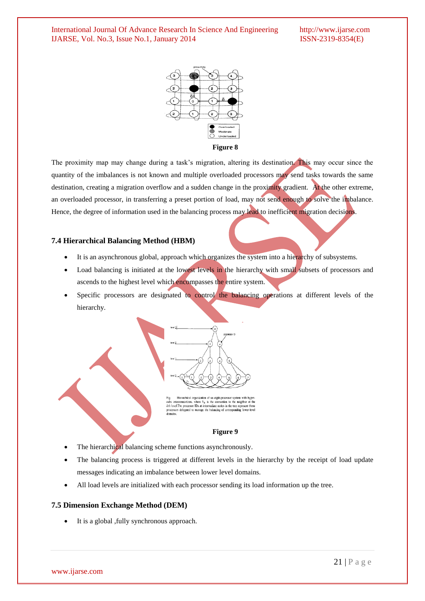

**Figure 8**

The proximity map may change during a task's migration, altering its destination. This may occur since the quantity of the imbalances is not known and multiple overloaded processors may send tasks towards the same destination, creating a migration overflow and a sudden change in the proximity gradient. At the other extreme, an overloaded processor, in transferring a preset portion of load, may not send enough to solve the imbalance. Hence, the degree of information used in the balancing process may lead to inefficient migration decisions.

### **7.4 Hierarchical Balancing Method (HBM)**

- It is an asynchronous global, approach which organizes the system into a hierarchy of subsystems.
- Load balancing is initiated at the lowest levels in the hierarchy with small subsets of processors and ascends to the highest level which encompasses the entire system.
- Specific processors are designated to control the balancing operations at different levels of the hierarchy.



- The hierarchical balancing scheme functions asynchronously.
- The balancing process is triggered at different levels in the hierarchy by the receipt of load update messages indicating an imbalance between lower level domains.
- All load levels are initialized with each processor sending its load information up the tree.

## **7.5 Dimension Exchange Method (DEM)**

It is a global ,fully synchronous approach.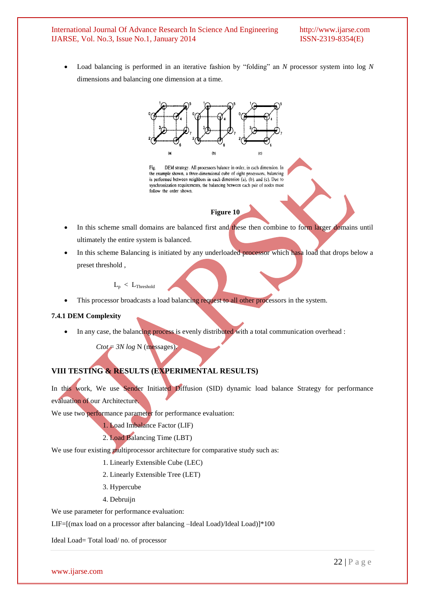#### International Journal Of Advance Research In Science And Engineering http://www.ijarse.com IJARSE. Vol. No.3. Issue No.1. January 2014 **ISSN-2319-8354(E)** IJARSE, Vol. No.3, Issue No.1, January 2014

Load balancing is performed in an iterative fashion by "folding" an *N* processor system into log *N* dimensions and balancing one dimension at a time.



Fig. DEM strategy. All processors balance in order, in each dimension. In the example shown, a three-dimensional cube of eight processors, balancing is performed between neighbors in each dimension (a), (b), and (c). Due to synchronization requirements, the balancing between each pair of nodes must follow the order shown.

## **Figure 10**

- In this scheme small domains are balanced first and these then combine to form larger domains until ultimately the entire system is balanced.
- In this scheme Balancing is initiated by any underloaded processor which hasa load that drops below a preset threshold ,

 $L_p < L_{Threshold}$ 

This processor broadcasts a load balancing request to all other processors in the system.

### **7.4.1 DEM Complexity**

In any case, the balancing process is evenly distributed with a total communication overhead :

 $Ctot = 3N log N (messages).$ 

## **VIII TESTING & RESULTS (EXPERIMENTAL RESULTS)**

In this work, We use Sender Initiated Diffusion (SID) dynamic load balance Strategy for performance evaluation of our Architecture.

We use two performance parameter for performance evaluation:

1. Load Imbalance Factor (LIF)

2. Load Balancing Time (LBT)

We use four existing multiprocessor architecture for comparative study such as:

1. Linearly Extensible Cube (LEC)

- 2. Linearly Extensible Tree (LET)
- 3. Hypercube
- 4. Debruijn

We use parameter for performance evaluation:

LIF=[(max load on a processor after balancing –Ideal Load)/Ideal Load)]\*100

Ideal Load= Total load/ no. of processor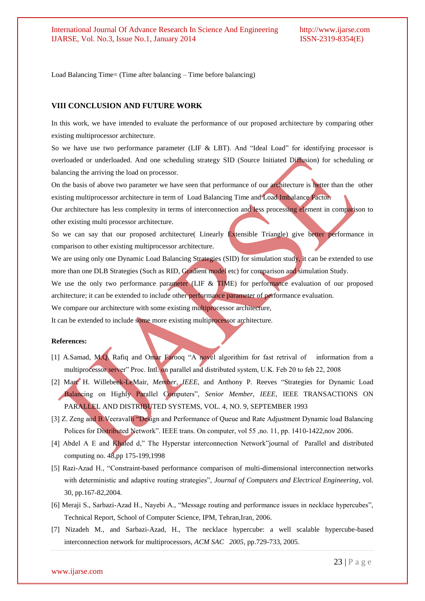Load Balancing Time= (Time after balancing – Time before balancing)

#### **VIII CONCLUSION AND FUTURE WORK**

In this work, we have intended to evaluate the performance of our proposed architecture by comparing other existing multiprocessor architecture.

So we have use two performance parameter (LIF  $&$  LBT). And "Ideal Load" for identifying processor is overloaded or underloaded. And one scheduling strategy SID (Source Initiated Diffusion) for scheduling or balancing the arriving the load on processor.

On the basis of above two parameter we have seen that performance of our architecture is better than the other existing multiprocessor architecture in term of Load Balancing Time and Load Imbalance Factor.

Our architecture has less complexity in terms of interconnection and less processing element in comparison to other existing multi processor architecture.

So we can say that our proposed architecture( Linearly Extensible Triangle) give better performance in comparison to other existing multiprocessor architecture.

We are using only one Dynamic Load Balancing Strategies (SID) for simulation study, it can be extended to use more than one DLB Strategies (Such as RID, Gradient model etc) for comparison and simulation Study.

We use the only two performance parameter (LIF & TIME) for performance evaluation of our proposed architecture; it can be extended to include other performance parameter of performance evaluation.

We compare our architecture with some existing multiprocessor architecture,

It can be extended to include some more existing multiprocessor architecture.

#### **References:**

- [1] A.Samad, M.Q. Rafiq and Omar Farooq "A novel algorithim for fast retrival of information from a multiprocessor server" Proc. Intl. on parallel and distributed system, U.K. Feb 20 to feb 22, 2008
- [2] Marc H. Willebeek-LeMair, *Member, IEEE*, and Anthony P. Reeves "Strategies for Dynamic Load Balancing on Highly Parallel Computers‖, *Senior Member, IEEE,* IEEE TRANSACTIONS ON PARALLEL AND DISTRIBUTED SYSTEMS, VOL. 4, NO. 9, SEPTEMBER 1993
- [3] Z. Zeng and B.Veeravalli "Design and Performance of Queue and Rate Adjustment Dynamic load Balancing Polices for Distributed Network". IEEE trans. On computer, vol 55, no. 11, pp. 1410-1422, nov 2006.
- [4] Abdel A E and Khaled d," The Hyperstar interconnection Network" journal of Parallel and distributed computing no. 48,pp 175-199,1998
- [5] Razi-Azad H., "Constraint-based performance comparison of multi-dimensional interconnection networks with deterministic and adaptive routing strategies", *Journal of Computers and Electrical Engineering*, vol. 30, pp.167-82,2004.
- [6] Meraji S., Sarbazi-Azad H., Nayebi A., "Message routing and performance issues in necklace hypercubes", Technical Report, School of Computer Science, IPM, Tehran,Iran, 2006.
- [7] Nizadeh M., and Sarbazi-Azad, H., The necklace hypercube: a well scalable hypercube-based interconnection network for multiprocessors, *ACM SAC 2005*, pp.729-733, 2005.